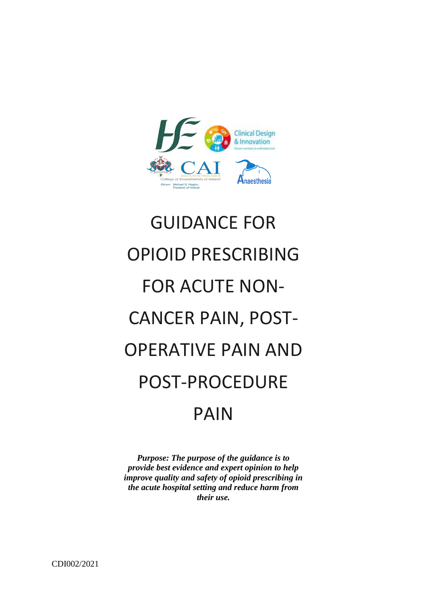

# GUIDANCE FOR OPIOID PRESCRIBING FOR ACUTE NON-CANCER PAIN, POST-OPERATIVE PAIN AND POST-PROCEDURE PAIN

*Purpose: The purpose of the guidance is to provide best evidence and expert opinion to help improve quality and safety of opioid prescribing in the acute hospital setting and reduce harm from their use.*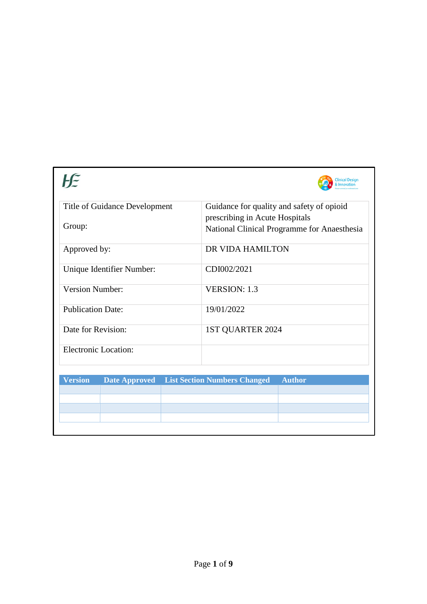|                               |                      |  | inical Desig                                                                  |
|-------------------------------|----------------------|--|-------------------------------------------------------------------------------|
| Title of Guidance Development |                      |  | Guidance for quality and safety of opioid                                     |
| Group:                        |                      |  | prescribing in Acute Hospitals<br>National Clinical Programme for Anaesthesia |
| Approved by:                  |                      |  | DR VIDA HAMILTON                                                              |
| Unique Identifier Number:     |                      |  | CDI002/2021                                                                   |
| <b>Version Number:</b>        |                      |  | <b>VERSION: 1.3</b>                                                           |
| <b>Publication Date:</b>      |                      |  | 19/01/2022                                                                    |
| Date for Revision:            |                      |  | 1ST QUARTER 2024                                                              |
| <b>Electronic Location:</b>   |                      |  |                                                                               |
| <b>Version</b>                | <b>Date Approved</b> |  | <b>List Section Numbers Changed</b><br><b>Author</b>                          |
|                               |                      |  |                                                                               |
|                               |                      |  |                                                                               |
|                               |                      |  |                                                                               |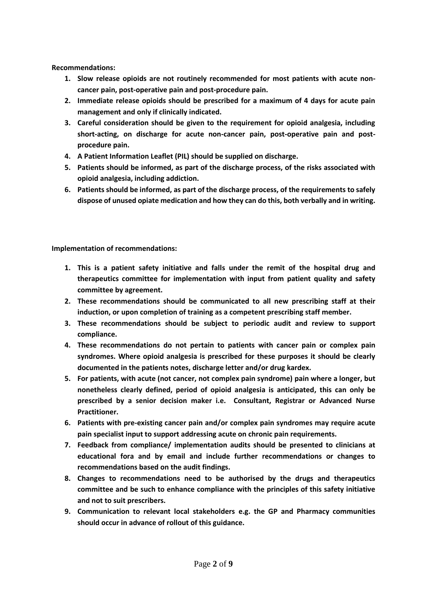**Recommendations:**

- **1. Slow release opioids are not routinely recommended for most patients with acute noncancer pain, post-operative pain and post-procedure pain.**
- **2. Immediate release opioids should be prescribed for a maximum of 4 days for acute pain management and only if clinically indicated.**
- **3. Careful consideration should be given to the requirement for opioid analgesia, including short-acting, on discharge for acute non-cancer pain, post-operative pain and postprocedure pain.**
- **4. A Patient Information Leaflet (PIL) should be supplied on discharge.**
- **5. Patients should be informed, as part of the discharge process, of the risks associated with opioid analgesia, including addiction.**
- **6. Patients should be informed, as part of the discharge process, of the requirements to safely dispose of unused opiate medication and how they can do this, both verbally and in writing.**

**Implementation of recommendations:**

- **1. This is a patient safety initiative and falls under the remit of the hospital drug and therapeutics committee for implementation with input from patient quality and safety committee by agreement.**
- **2. These recommendations should be communicated to all new prescribing staff at their induction, or upon completion of training as a competent prescribing staff member.**
- **3. These recommendations should be subject to periodic audit and review to support compliance.**
- **4. These recommendations do not pertain to patients with cancer pain or complex pain syndromes. Where opioid analgesia is prescribed for these purposes it should be clearly documented in the patients notes, discharge letter and/or drug kardex.**
- **5. For patients, with acute (not cancer, not complex pain syndrome) pain where a longer, but nonetheless clearly defined, period of opioid analgesia is anticipated, this can only be prescribed by a senior decision maker i.e. Consultant, Registrar or Advanced Nurse Practitioner.**
- **6. Patients with pre-existing cancer pain and/or complex pain syndromes may require acute pain specialist input to support addressing acute on chronic pain requirements.**
- **7. Feedback from compliance/ implementation audits should be presented to clinicians at educational fora and by email and include further recommendations or changes to recommendations based on the audit findings.**
- **8. Changes to recommendations need to be authorised by the drugs and therapeutics committee and be such to enhance compliance with the principles of this safety initiative and not to suit prescribers.**
- **9. Communication to relevant local stakeholders e.g. the GP and Pharmacy communities should occur in advance of rollout of this guidance.**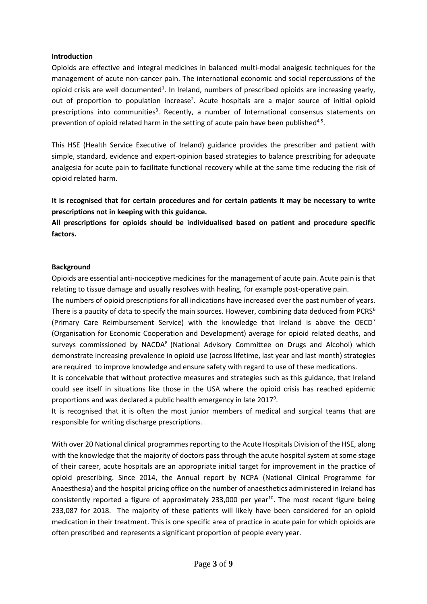#### **Introduction**

Opioids are effective and integral medicines in balanced multi-modal analgesic techniques for the management of acute non-cancer pain. The international economic and social repercussions of the opioid crisis are well documented<sup>1</sup>. In Ireland, numbers of prescribed opioids are increasing yearly, out of proportion to population increase<sup>2</sup>. Acute hospitals are a major source of initial opioid prescriptions into communities<sup>3</sup>. Recently, a number of International consensus statements on prevention of opioid related harm in the setting of acute pain have been published<sup>4,5</sup>.

This HSE (Health Service Executive of Ireland) guidance provides the prescriber and patient with simple, standard, evidence and expert-opinion based strategies to balance prescribing for adequate analgesia for acute pain to facilitate functional recovery while at the same time reducing the risk of opioid related harm.

**It is recognised that for certain procedures and for certain patients it may be necessary to write prescriptions not in keeping with this guidance.** 

**All prescriptions for opioids should be individualised based on patient and procedure specific factors.**

#### **Background**

Opioids are essential anti-nociceptive medicines for the management of acute pain. Acute pain is that relating to tissue damage and usually resolves with healing, for example post-operative pain.

The numbers of opioid prescriptions for all indications have increased over the past number of years. There is a paucity of data to specify the main sources. However, combining data deduced from PCRS<sup>6</sup> (Primary Care Reimbursement Service) with the knowledge that Ireland is above the OECD<sup>7</sup> (Organisation for Economic Cooperation and Development) average for opioid related deaths, and surveys commissioned by NACDA<sup>8</sup> (National Advisory Committee on Drugs and Alcohol) which demonstrate increasing prevalence in opioid use (across lifetime, last year and last month) strategies are required to improve knowledge and ensure safety with regard to use of these medications.

It is conceivable that without protective measures and strategies such as this guidance, that Ireland could see itself in situations like those in the USA where the opioid crisis has reached epidemic proportions and was declared a public health emergency in late 2017<sup>9</sup>.

It is recognised that it is often the most junior members of medical and surgical teams that are responsible for writing discharge prescriptions.

With over 20 National clinical programmes reporting to the Acute Hospitals Division of the HSE, along with the knowledge that the majority of doctors pass through the acute hospital system at some stage of their career, acute hospitals are an appropriate initial target for improvement in the practice of opioid prescribing. Since 2014, the Annual report by NCPA (National Clinical Programme for Anaesthesia) and the hospital pricing office on the number of anaesthetics administered in Ireland has consistently reported a figure of approximately 233,000 per year<sup>10</sup>. The most recent figure being 233,087 for 2018. The majority of these patients will likely have been considered for an opioid medication in their treatment. This is one specific area of practice in acute pain for which opioids are often prescribed and represents a significant proportion of people every year.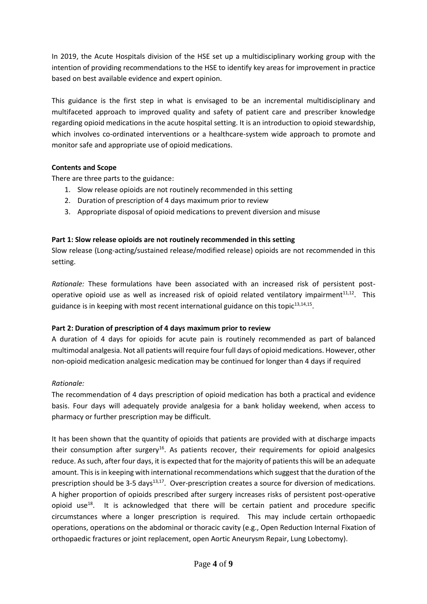In 2019, the Acute Hospitals division of the HSE set up a multidisciplinary working group with the intention of providing recommendations to the HSE to identify key areas for improvement in practice based on best available evidence and expert opinion.

This guidance is the first step in what is envisaged to be an incremental multidisciplinary and multifaceted approach to improved quality and safety of patient care and prescriber knowledge regarding opioid medications in the acute hospital setting. It is an introduction to opioid stewardship, which involves co-ordinated interventions or a healthcare-system wide approach to promote and monitor safe and appropriate use of opioid medications.

# **Contents and Scope**

There are three parts to the guidance:

- 1. Slow release opioids are not routinely recommended in this setting
- 2. Duration of prescription of 4 days maximum prior to review
- 3. Appropriate disposal of opioid medications to prevent diversion and misuse

## **Part 1: Slow release opioids are not routinely recommended in this setting**

Slow release (Long-acting/sustained release/modified release) opioids are not recommended in this setting.

*Rationale:* These formulations have been associated with an increased risk of persistent postoperative opioid use as well as increased risk of opioid related ventilatory impairment $^{11,12}$ . This guidance is in keeping with most recent international guidance on this topic $^{13,14,15}$ .

## **Part 2: Duration of prescription of 4 days maximum prior to review**

A duration of 4 days for opioids for acute pain is routinely recommended as part of balanced multimodal analgesia. Not all patients will require four full days of opioid medications. However, other non-opioid medication analgesic medication may be continued for longer than 4 days if required

## *Rationale:*

The recommendation of 4 days prescription of opioid medication has both a practical and evidence basis. Four days will adequately provide analgesia for a bank holiday weekend, when access to pharmacy or further prescription may be difficult.

It has been shown that the quantity of opioids that patients are provided with at discharge impacts their consumption after surgery<sup>16</sup>. As patients recover, their requirements for opioid analgesics reduce. As such, after four days, it is expected that for the majority of patients this will be an adequate amount. This is in keeping with international recommendations which suggest that the duration of the prescription should be 3-5 days<sup>13,17</sup>. Over-prescription creates a source for diversion of medications*.* A higher proportion of opioids prescribed after surgery increases risks of persistent post-operative opioid use<sup>18</sup>. It is acknowledged that there will be certain patient and procedure specific circumstances where a longer prescription is required. This may include certain orthopaedic operations, operations on the abdominal or thoracic cavity (e.g., Open Reduction Internal Fixation of orthopaedic fractures or joint replacement, open Aortic Aneurysm Repair, Lung Lobectomy).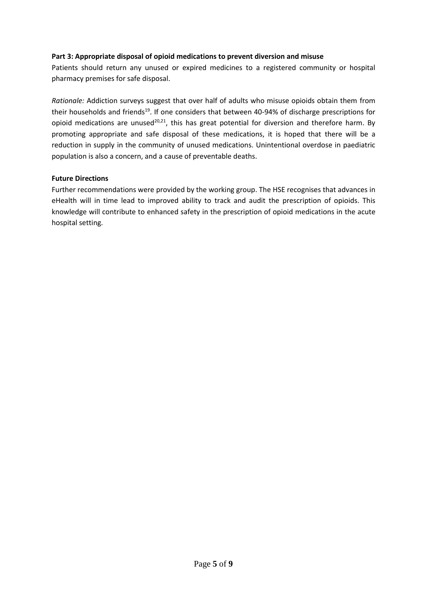## **Part 3: Appropriate disposal of opioid medications to prevent diversion and misuse**

Patients should return any unused or expired medicines to a registered community or hospital pharmacy premises for safe disposal.

*Rationale:* Addiction surveys suggest that over half of adults who misuse opioids obtain them from their households and friends<sup>19</sup>. If one considers that between 40-94% of discharge prescriptions for opioid medications are unused<sup>20,21</sup>, this has great potential for diversion and therefore harm. By promoting appropriate and safe disposal of these medications, it is hoped that there will be a reduction in supply in the community of unused medications. Unintentional overdose in paediatric population is also a concern, and a cause of preventable deaths.

#### **Future Directions**

Further recommendations were provided by the working group. The HSE recognises that advances in eHealth will in time lead to improved ability to track and audit the prescription of opioids. This knowledge will contribute to enhanced safety in the prescription of opioid medications in the acute hospital setting.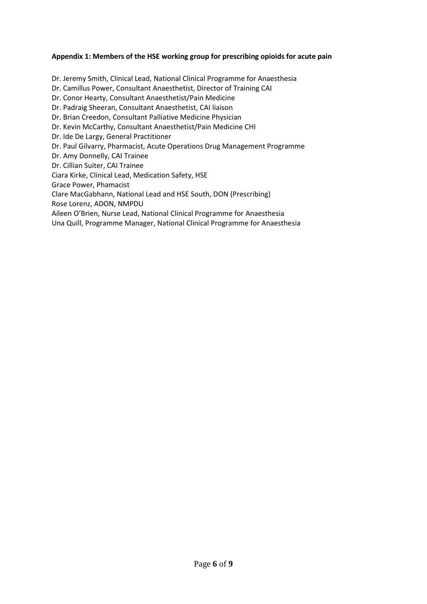## **Appendix 1: Members of the HSE working group for prescribing opioids for acute pain**

Dr. Jeremy Smith, Clinical Lead, National Clinical Programme for Anaesthesia Dr. Camillus Power, Consultant Anaesthetist, Director of Training CAI Dr. Conor Hearty, Consultant Anaesthetist/Pain Medicine Dr. Padraig Sheeran, Consultant Anaesthetist, CAI liaison Dr. Brian Creedon, Consultant Palliative Medicine Physician Dr. Kevin McCarthy, Consultant Anaesthetist/Pain Medicine CHI Dr. Ide De Largy, General Practitioner Dr. Paul Gilvarry, Pharmacist, Acute Operations Drug Management Programme Dr. Amy Donnelly, CAI Trainee Dr. Cillian Suiter, CAI Trainee Ciara Kirke, Clinical Lead, Medication Safety, HSE Grace Power, Phamacist Clare MacGabhann, National Lead and HSE South, DON (Prescribing) Rose Lorenz, ADON, NMPDU Aileen O'Brien, Nurse Lead, National Clinical Programme for Anaesthesia

Una Quill, Programme Manager, National Clinical Programme for Anaesthesia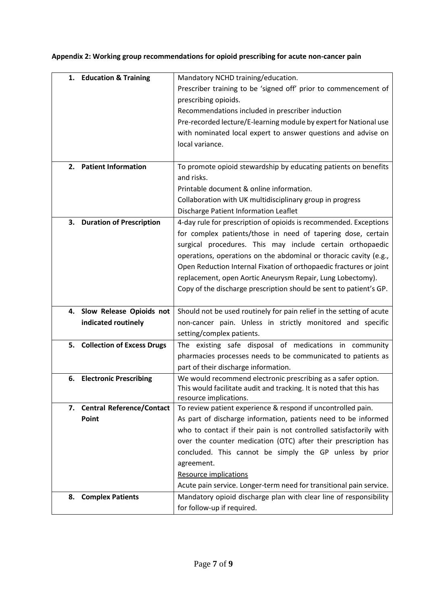| 1. | <b>Education &amp; Training</b>  | Mandatory NCHD training/education.                                                              |
|----|----------------------------------|-------------------------------------------------------------------------------------------------|
|    |                                  | Prescriber training to be 'signed off' prior to commencement of                                 |
|    |                                  | prescribing opioids.                                                                            |
|    |                                  | Recommendations included in prescriber induction                                                |
|    |                                  | Pre-recorded lecture/E-learning module by expert for National use                               |
|    |                                  | with nominated local expert to answer questions and advise on                                   |
|    |                                  | local variance.                                                                                 |
|    |                                  |                                                                                                 |
| 2. | <b>Patient Information</b>       | To promote opioid stewardship by educating patients on benefits                                 |
|    |                                  | and risks.                                                                                      |
|    |                                  | Printable document & online information.                                                        |
|    |                                  | Collaboration with UK multidisciplinary group in progress                                       |
|    |                                  | Discharge Patient Information Leaflet                                                           |
| 3. | <b>Duration of Prescription</b>  | 4-day rule for prescription of opioids is recommended. Exceptions                               |
|    |                                  | for complex patients/those in need of tapering dose, certain                                    |
|    |                                  | surgical procedures. This may include certain orthopaedic                                       |
|    |                                  | operations, operations on the abdominal or thoracic cavity (e.g.,                               |
|    |                                  | Open Reduction Internal Fixation of orthopaedic fractures or joint                              |
|    |                                  | replacement, open Aortic Aneurysm Repair, Lung Lobectomy).                                      |
|    |                                  | Copy of the discharge prescription should be sent to patient's GP.                              |
|    |                                  |                                                                                                 |
|    | 4. Slow Release Opioids not      | Should not be used routinely for pain relief in the setting of acute                            |
|    | indicated routinely              | non-cancer pain. Unless in strictly monitored and specific                                      |
|    |                                  | setting/complex patients.                                                                       |
|    | 5. Collection of Excess Drugs    | The existing safe disposal of medications in community                                          |
|    |                                  |                                                                                                 |
|    |                                  | pharmacies processes needs to be communicated to patients as                                    |
|    |                                  | part of their discharge information.                                                            |
| 6. | <b>Electronic Prescribing</b>    | We would recommend electronic prescribing as a safer option.                                    |
|    |                                  | This would facilitate audit and tracking. It is noted that this has                             |
|    |                                  | resource implications.                                                                          |
| 7. | <b>Central Reference/Contact</b> | To review patient experience & respond if uncontrolled pain.                                    |
|    | Point                            | As part of discharge information, patients need to be informed                                  |
|    |                                  | who to contact if their pain is not controlled satisfactorily with                              |
|    |                                  | over the counter medication (OTC) after their prescription has                                  |
|    |                                  | concluded. This cannot be simply the GP unless by prior                                         |
|    |                                  | agreement.                                                                                      |
|    |                                  | <b>Resource implications</b>                                                                    |
|    |                                  | Acute pain service. Longer-term need for transitional pain service.                             |
| 8. | <b>Complex Patients</b>          | Mandatory opioid discharge plan with clear line of responsibility<br>for follow-up if required. |

**Appendix 2: Working group recommendations for opioid prescribing for acute non-cancer pain**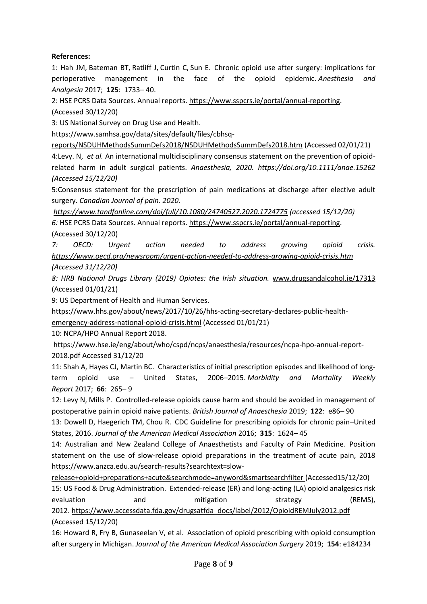# **References:**

1: Hah JM, Bateman BT, Ratliff J, Curtin C, Sun E. Chronic opioid use after surgery: implications for perioperative management in the face of the opioid epidemic. *Anesthesia and Analgesia* 2017; **125**: 1733– 40.

2: HSE PCRS Data Sources. Annual reports[. https://www.sspcrs.ie/portal/annual-reporting.](https://www.sspcrs.ie/portal/annual-reporting)

(Accessed 30/12/20)

3: US National Survey on Drug Use and Health.

[https://www.samhsa.gov/data/sites/default/files/cbhsq-](https://www.samhsa.gov/data/sites/default/files/cbhsq-reports/NSDUHMethodsSummDefs2018/NSDUHMethodsSummDefs2018.htm)

[reports/NSDUHMethodsSummDefs2018/NSDUHMethodsSummDefs2018.htm](https://www.samhsa.gov/data/sites/default/files/cbhsq-reports/NSDUHMethodsSummDefs2018/NSDUHMethodsSummDefs2018.htm) (Accessed 02/01/21) 4:Levy. N, *et al.* An international multidisciplinary consensus statement on the prevention of opioidrelated harm in adult surgical patients. *Anaesthesia, 2020. <https://doi.org/10.1111/anae.15262> (Accessed 15/12/20)*

5:Consensus statement for the prescription of pain medications at discharge after elective adult surgery. *Canadian Journal of pain. 2020.*

*<https://www.tandfonline.com/doi/full/10.1080/24740527.2020.1724775> (accessed 15/12/20)*

*6:* HSE PCRS Data Sources. Annual reports[. https://www.sspcrs.ie/portal/annual-reporting.](https://www.sspcrs.ie/portal/annual-reporting) (Accessed 30/12/20)

*7: OECD: Urgent action needed to address growing opioid crisis. <https://www.oecd.org/newsroom/urgent-action-needed-to-address-growing-opioid-crisis.htm> (Accessed 31/12/20)*

*8: HRB National Drugs Library (2019) Opiates: the Irish situation.* [www.drugsandalcohol.ie/17313](http://www.drugsandalcohol.ie/17313) (Accessed 01/01/21)

9: US Department of Health and Human Services.

[https://www.hhs.gov/about/news/2017/10/26/hhs-acting-secretary-declares-public-health-](https://www.hhs.gov/about/news/2017/10/26/hhs-acting-secretary-declares-public-health-emergency-address-national-opioid-crisis.html)

[emergency-address-national-opioid-crisis.html](https://www.hhs.gov/about/news/2017/10/26/hhs-acting-secretary-declares-public-health-emergency-address-national-opioid-crisis.html) (Accessed 01/01/21)

10: NCPA/HPO Annual Report 2018.

https://www.hse.ie/eng/about/who/cspd/ncps/anaesthesia/resources/ncpa-hpo-annual-report-2018.pdf Accessed 31/12/20

11: Shah A, Hayes CJ, Martin BC. Characteristics of initial prescription episodes and likelihood of long‐ term opioid use – United States, 2006–2015. *Morbidity and Mortality Weekly Report* 2017; **66**: 265– 9

12: Levy N, Mills P. Controlled-release opioids cause harm and should be avoided in management of postoperative pain in opioid naive patients. *British Journal of Anaesthesia* 2019; **122**: e86– 90

13: Dowell D, Haegerich TM, Chou R. CDC Guideline for prescribing opioids for chronic pain–United States, 2016. *Journal of the American Medical Association* 2016; **315**: 1624– 45

14: Australian and New Zealand College of Anaesthetists and Faculty of Pain Medicine. Position statement on the use of slow-release opioid preparations in the treatment of acute pain, 2018 [https://www.anzca.edu.au/search-results?searchtext=slow-](https://www.anzca.edu.au/search-results?searchtext=slow-release+opioid+preparations+acute&searchmode=anyword&smartsearchfilter)

[release+opioid+preparations+acute&searchmode=anyword&smartsearchfilter](https://www.anzca.edu.au/search-results?searchtext=slow-release+opioid+preparations+acute&searchmode=anyword&smartsearchfilter) (Accessed15/12/20)

15: US Food & Drug Administration. Extended‐release (ER) and long‐acting (LA) opioid analgesics risk evaluation and mitigation strategy (REMS), 2012. [https://www.accessdata.fda.gov/drugsatfda\\_docs/label/2012/OpioidREMJuly2012.pdf](https://www.accessdata.fda.gov/drugsatfda_docs/label/2012/OpioidREMJuly2012.pdf) (Accessed 15/12/20)

16: Howard R, Fry B, Gunaseelan V, et al. Association of opioid prescribing with opioid consumption after surgery in Michigan. *Journal of the American Medical Association Surgery* 2019; **154**: e184234